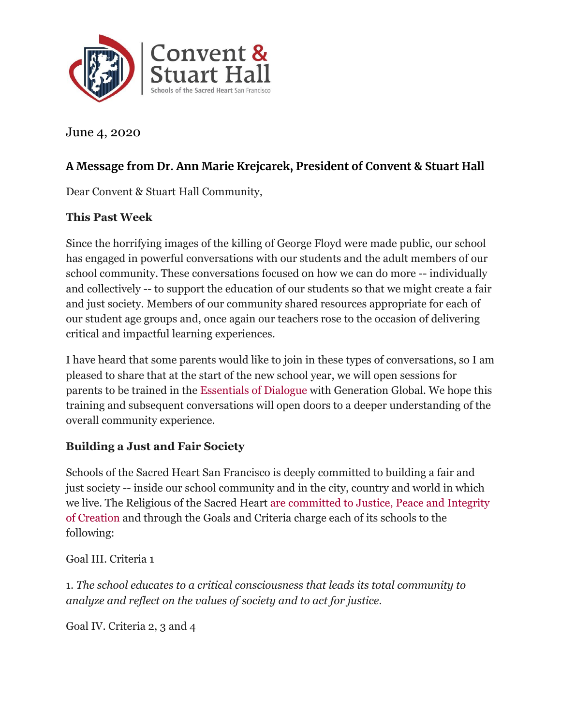

June 4, 2020

## **A Message from Dr. Ann Marie Krejcarek, President of Convent & Stuart Hall**

Dear Convent & Stuart Hall Community,

#### **This Past Week**

Since the horrifying images of the killing of George Floyd were made public, our school has engaged in powerful conversations with our students and the adult members of our school community. These conversations focused on how we can do more -- individually and collectively -- to support the education of our students so that we might create a fair and just society. Members of our community shared resources appropriate for each of our student age groups and, once again our teachers rose to the occasion of delivering critical and impactful learning experiences.

I have heard that some parents would like to join in these types of conversations, so I am pleased to share that at the start of the new school year, we will open sessions for parents to be trained in the [Essentials of Dialogue](https://institute.global/advisory/essentials-dialogue) with Generation Global. We hope this training and subsequent conversations will open doors to a deeper understanding of the overall community experience.

#### **Building a Just and Fair Society**

Schools of the Sacred Heart San Francisco is deeply committed to building a fair and just society -- inside our school community and in the city, country and world in which we live. The Religious of the Sacred Heart [are committed to Justice, Peace and Integrity](https://rscjinternational.org/justice-peace-and-integrity-creation) [of Creation a](https://rscjinternational.org/justice-peace-and-integrity-creation)nd through the Goals and Criteria charge each of its schools to the following:

Goal III. Criteria 1

1. *The school educates to a critical consciousness that leads its total community to analyze and reflect on the values of society and to act for justice.*

Goal IV. Criteria 2, 3 and 4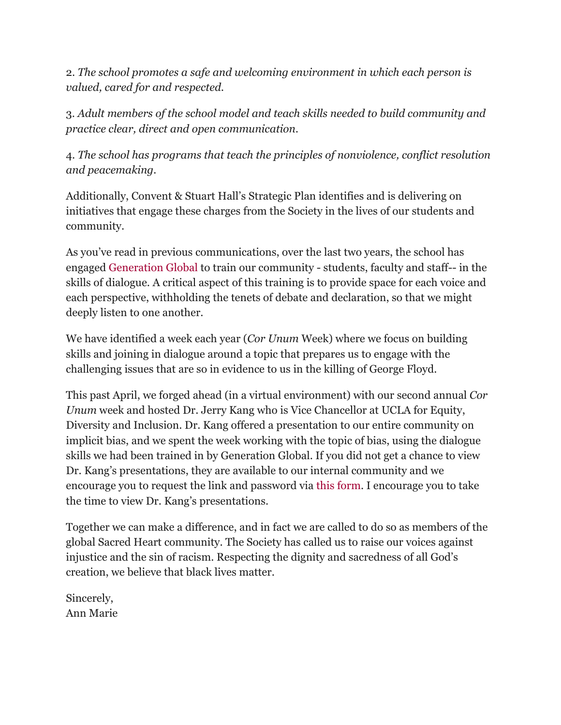2. *The school promotes a safe and welcoming environment in which each person is valued, cared for and respected.*

3. *Adult members of the school model and teach skills needed to build community and practice clear, direct and open communication.*

4. *The school has programs that teach the principles of nonviolence, conflict resolution and peacemaking.*

Additionally, Convent & Stuart Hall's Strategic Plan identifies and is delivering on initiatives that engage these charges from the Society in the lives of our students and community.

As you've read in previous communications, over the last two years, the school has engaged [Generation Global](https://institute.global/advisory/essentials-dialogue) to train our community - students, faculty and staff-- in the skills of dialogue. A critical aspect of this training is to provide space for each voice and each perspective, withholding the tenets of debate and declaration, so that we might deeply listen to one another.

We have identified a week each year (*Cor Unum* Week) where we focus on building skills and joining in dialogue around a topic that prepares us to engage with the challenging issues that are so in evidence to us in the killing of George Floyd.

This past April, we forged ahead (in a virtual environment) with our second annual *Cor Unum* week and hosted Dr. Jerry Kang who is Vice Chancellor at UCLA for Equity, Diversity and Inclusion. Dr. Kang offered a presentation to our entire community on implicit bias, and we spent the week working with the topic of bias, using the dialogue skills we had been trained in by Generation Global. If you did not get a chance to view Dr. Kang's presentations, they are available to our internal community and we encourage you to request the link and password via [this form.](https://www.sacredsf.org/forms/corunum-presentations) I encourage you to take the time to view Dr. Kang's presentations.

Together we can make a difference, and in fact we are called to do so as members of the global Sacred Heart community. The Society has called us to raise our voices against injustice and the sin of racism. Respecting the dignity and sacredness of all God's creation, we believe that black lives matter.

Sincerely, Ann Marie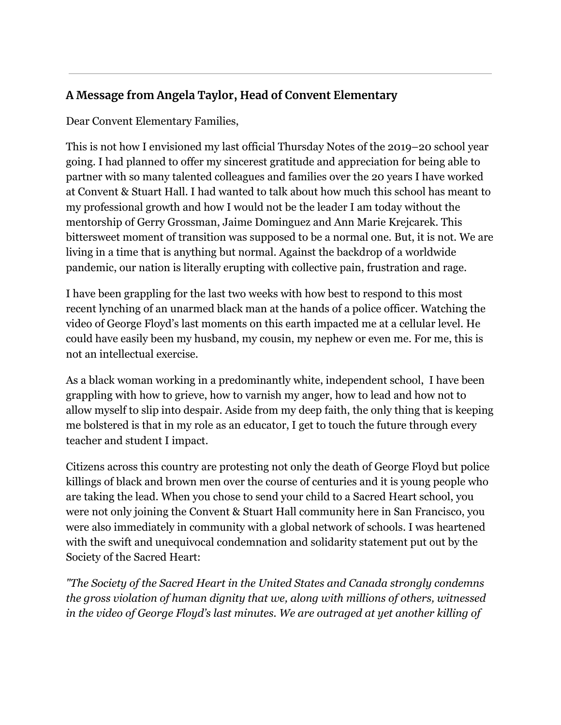### **A Message from Angela Taylor, Head of Convent Elementary**

Dear Convent Elementary Families,

This is not how I envisioned my last official Thursday Notes of the 2019–20 school year going. I had planned to offer my sincerest gratitude and appreciation for being able to partner with so many talented colleagues and families over the 20 years I have worked at Convent & Stuart Hall. I had wanted to talk about how much this school has meant to my professional growth and how I would not be the leader I am today without the mentorship of Gerry Grossman, Jaime Dominguez and Ann Marie Krejcarek. This bittersweet moment of transition was supposed to be a normal one. But, it is not. We are living in a time that is anything but normal. Against the backdrop of a worldwide pandemic, our nation is literally erupting with collective pain, frustration and rage.

I have been grappling for the last two weeks with how best to respond to this most recent lynching of an unarmed black man at the hands of a police officer. Watching the video of George Floyd's last moments on this earth impacted me at a cellular level. He could have easily been my husband, my cousin, my nephew or even me. For me, this is not an intellectual exercise.

As a black woman working in a predominantly white, independent school, I have been grappling with how to grieve, how to varnish my anger, how to lead and how not to allow myself to slip into despair. Aside from my deep faith, the only thing that is keeping me bolstered is that in my role as an educator, I get to touch the future through every teacher and student I impact.

Citizens across this country are protesting not only the death of George Floyd but police killings of black and brown men over the course of centuries and it is young people who are taking the lead. When you chose to send your child to a Sacred Heart school, you were not only joining the Convent & Stuart Hall community here in San Francisco, you were also immediately in community with a global network of schools. I was heartened with the swift and unequivocal condemnation and solidarity statement put out by the Society of the Sacred Heart:

*"The Society of the Sacred Heart in the United States and Canada strongly condemns the gross violation of human dignity that we, along with millions of others, witnessed in the video of George Floyd's last minutes. We are outraged at yet another killing of*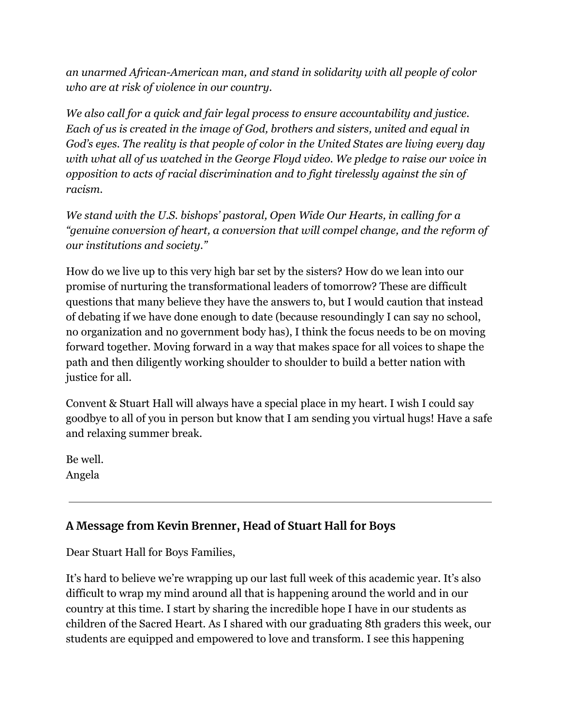*an unarmed African-American man, and stand in solidarity with all people of color who are at risk of violence in our country.*

*We also call for a quick and fair legal process to ensure accountability and justice. Each of us is created in the image of God, brothers and sisters, united and equal in God's eyes. The reality is that people of color in the United States are living every day with what all of us watched in the George Floyd video. We pledge to raise our voice in opposition to acts of racial discrimination and to fight tirelessly against the sin of racism.*

*We stand with the U.S. bishops' pastoral, Open Wide Our Hearts, in calling for a "genuine conversion of heart, a conversion that will compel change, and the reform of our institutions and society."*

How do we live up to this very high bar set by the sisters? How do we lean into our promise of nurturing the transformational leaders of tomorrow? These are difficult questions that many believe they have the answers to, but I would caution that instead of debating if we have done enough to date (because resoundingly I can say no school, no organization and no government body has), I think the focus needs to be on moving forward together. Moving forward in a way that makes space for all voices to shape the path and then diligently working shoulder to shoulder to build a better nation with justice for all.

Convent & Stuart Hall will always have a special place in my heart. I wish I could say goodbye to all of you in person but know that I am sending you virtual hugs! Have a safe and relaxing summer break.

Be well. Angela

## **A Message from Kevin Brenner, Head of Stuart Hall for Boys**

Dear Stuart Hall for Boys Families,

It's hard to believe we're wrapping up our last full week of this academic year. It's also difficult to wrap my mind around all that is happening around the world and in our country at this time. I start by sharing the incredible hope I have in our students as children of the Sacred Heart. As I shared with our graduating 8th graders this week, our students are equipped and empowered to love and transform. I see this happening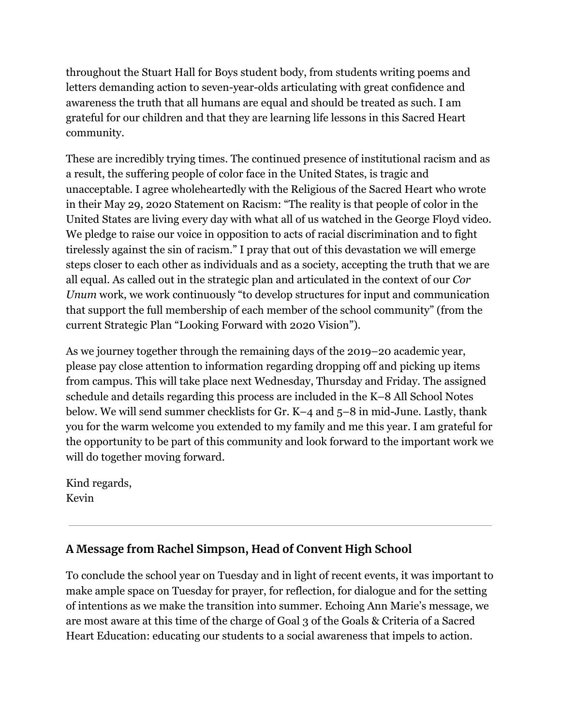throughout the Stuart Hall for Boys student body, from students writing poems and letters demanding action to seven-year-olds articulating with great confidence and awareness the truth that all humans are equal and should be treated as such. I am grateful for our children and that they are learning life lessons in this Sacred Heart community.

These are incredibly trying times. The continued presence of institutional racism and as a result, the suffering people of color face in the United States, is tragic and unacceptable. I agree wholeheartedly with the Religious of the Sacred Heart who wrote in their May 29, 2020 Statement on Racism: "The reality is that people of color in the United States are living every day with what all of us watched in the George Floyd video. We pledge to raise our voice in opposition to acts of racial discrimination and to fight tirelessly against the sin of racism." I pray that out of this devastation we will emerge steps closer to each other as individuals and as a society, accepting the truth that we are all equal. As called out in the strategic plan and articulated in the context of our *Cor Unum* work, we work continuously "to develop structures for input and communication that support the full membership of each member of the school community" (from the current Strategic Plan "Looking Forward with 2020 Vision").

As we journey together through the remaining days of the 2019–20 academic year, please pay close attention to information regarding dropping off and picking up items from campus. This will take place next Wednesday, Thursday and Friday. The assigned schedule and details regarding this process are included in the K–8 All School Notes below. We will send summer checklists for Gr. K–4 and 5–8 in mid-June. Lastly, thank you for the warm welcome you extended to my family and me this year. I am grateful for the opportunity to be part of this community and look forward to the important work we will do together moving forward.

Kind regards, Kevin

### **A Message from Rachel Simpson, Head of Convent High School**

To conclude the school year on Tuesday and in light of recent events, it was important to make ample space on Tuesday for prayer, for reflection, for dialogue and for the setting of intentions as we make the transition into summer. Echoing Ann Marie's message, we are most aware at this time of the charge of Goal 3 of the Goals & Criteria of a Sacred Heart Education: educating our students to a social awareness that impels to action.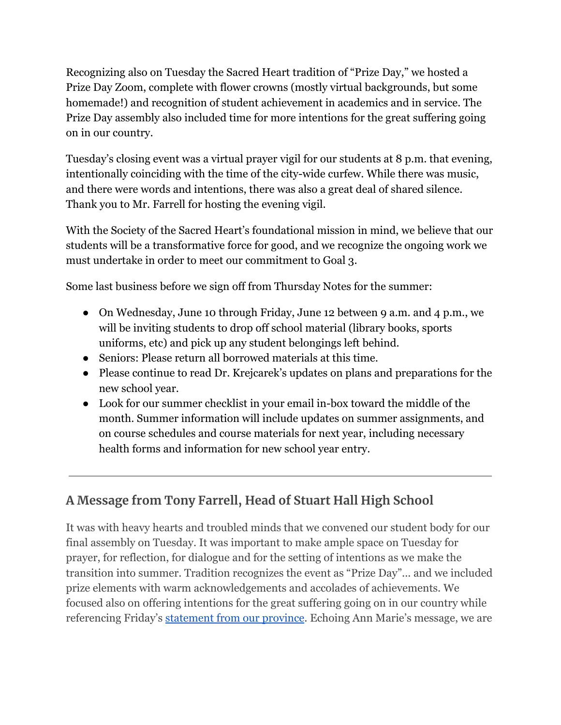Recognizing also on Tuesday the Sacred Heart tradition of "Prize Day," we hosted a Prize Day Zoom, complete with flower crowns (mostly virtual backgrounds, but some homemade!) and recognition of student achievement in academics and in service. The Prize Day assembly also included time for more intentions for the great suffering going on in our country.

Tuesday's closing event was a virtual prayer vigil for our students at 8 p.m. that evening, intentionally coinciding with the time of the city-wide curfew. While there was music, and there were words and intentions, there was also a great deal of shared silence. Thank you to Mr. Farrell for hosting the evening vigil.

With the Society of the Sacred Heart's foundational mission in mind, we believe that our students will be a transformative force for good, and we recognize the ongoing work we must undertake in order to meet our commitment to Goal 3.

Some last business before we sign off from Thursday Notes for the summer:

- On Wednesday, June 10 through Friday, June 12 between 9 a.m. and 4 p.m., we will be inviting students to drop off school material (library books, sports uniforms, etc) and pick up any student belongings left behind.
- Seniors: Please return all borrowed materials at this time.
- Please continue to read Dr. Krejcarek's updates on plans and preparations for the new school year.
- Look for our summer checklist in your email in-box toward the middle of the month. Summer information will include updates on summer assignments, and on course schedules and course materials for next year, including necessary health forms and information for new school year entry.

# **A Message from Tony Farrell, Head of Stuart Hall High School**

It was with heavy hearts and troubled minds that we convened our student body for our final assembly on Tuesday. It was important to make ample space on Tuesday for prayer, for reflection, for dialogue and for the setting of intentions as we make the transition into summer. Tradition recognizes the event as "Prize Day"... and we included prize elements with warm acknowledgements and accolades of achievements. We focused also on offering intentions for the great suffering going on in our country while referencing Friday's [statement from our province](https://drive.google.com/file/d/1nm0-3M7dSV8G2c6JWpceT2jWdepOf3u5/view?usp=sharing). Echoing Ann Marie's message, we are